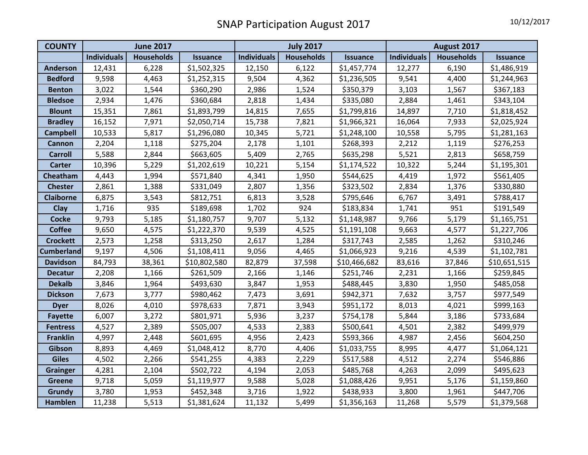| <b>COUNTY</b>     | <b>June 2017</b>   |                   |                 | <b>July 2017</b>   |                   |                 | August 2017        |                   |                 |
|-------------------|--------------------|-------------------|-----------------|--------------------|-------------------|-----------------|--------------------|-------------------|-----------------|
|                   | <b>Individuals</b> | <b>Households</b> | <b>Issuance</b> | <b>Individuals</b> | <b>Households</b> | <b>Issuance</b> | <b>Individuals</b> | <b>Households</b> | <b>Issuance</b> |
| <b>Anderson</b>   | 12,431             | 6,228             | \$1,502,325     | 12,150             | 6,122             | \$1,457,774     | 12,277             | 6,190             | \$1,486,919     |
| <b>Bedford</b>    | 9,598              | 4,463             | \$1,252,315     | 9,504              | 4,362             | \$1,236,505     | 9,541              | 4,400             | \$1,244,963     |
| <b>Benton</b>     | 3,022              | 1,544             | \$360,290       | 2,986              | 1,524             | \$350,379       | 3,103              | 1,567             | \$367,183       |
| <b>Bledsoe</b>    | 2,934              | 1,476             | \$360,684       | 2,818              | 1,434             | \$335,080       | 2,884              | 1,461             | \$343,104       |
| <b>Blount</b>     | 15,351             | 7,861             | \$1,893,799     | 14,815             | 7,655             | \$1,799,816     | 14,897             | 7,710             | \$1,818,452     |
| <b>Bradley</b>    | 16,152             | 7,971             | \$2,050,714     | 15,738             | 7,821             | \$1,966,321     | 16,064             | 7,933             | \$2,025,924     |
| <b>Campbell</b>   | 10,533             | 5,817             | \$1,296,080     | 10,345             | 5,721             | \$1,248,100     | 10,558             | 5,795             | \$1,281,163     |
| <b>Cannon</b>     | 2,204              | 1,118             | \$275,204       | 2,178              | 1,101             | \$268,393       | 2,212              | 1,119             | \$276,253       |
| <b>Carroll</b>    | 5,588              | 2,844             | \$663,605       | 5,409              | 2,765             | \$635,298       | 5,521              | 2,813             | \$658,759       |
| <b>Carter</b>     | 10,396             | 5,229             | \$1,202,619     | 10,221             | 5,154             | \$1,174,522     | 10,322             | 5,244             | \$1,195,301     |
| Cheatham          | 4,443              | 1,994             | \$571,840       | 4,341              | 1,950             | \$544,625       | 4,419              | 1,972             | \$561,405       |
| <b>Chester</b>    | 2,861              | 1,388             | \$331,049       | 2,807              | 1,356             | \$323,502       | 2,834              | 1,376             | \$330,880       |
| <b>Claiborne</b>  | 6,875              | 3,543             | \$812,751       | 6,813              | 3,528             | \$795,646       | 6,767              | 3,491             | \$788,417       |
| <b>Clay</b>       | 1,716              | 935               | \$189,698       | 1,702              | 924               | \$183,834       | 1,741              | 951               | \$191,549       |
| <b>Cocke</b>      | 9,793              | 5,185             | \$1,180,757     | 9,707              | 5,132             | \$1,148,987     | 9,766              | 5,179             | \$1,165,751     |
| <b>Coffee</b>     | 9,650              | 4,575             | \$1,222,370     | 9,539              | 4,525             | \$1,191,108     | 9,663              | 4,577             | \$1,227,706     |
| <b>Crockett</b>   | 2,573              | 1,258             | \$313,250       | 2,617              | 1,284             | \$317,743       | 2,585              | 1,262             | \$310,246       |
| <b>Cumberland</b> | 9,197              | 4,506             | \$1,108,411     | 9,056              | 4,465             | \$1,066,923     | 9,216              | 4,539             | \$1,102,781     |
| <b>Davidson</b>   | 84,793             | 38,361            | \$10,802,580    | 82,879             | 37,598            | \$10,466,682    | 83,616             | 37,846            | \$10,651,515    |
| <b>Decatur</b>    | 2,208              | 1,166             | \$261,509       | 2,166              | 1,146             | \$251,746       | 2,231              | 1,166             | \$259,845       |
| <b>Dekalb</b>     | 3,846              | 1,964             | \$493,630       | 3,847              | 1,953             | \$488,445       | 3,830              | 1,950             | \$485,058       |
| <b>Dickson</b>    | 7,673              | 3,777             | \$980,462       | 7,473              | 3,691             | \$942,371       | 7,632              | 3,757             | \$977,549       |
| <b>Dyer</b>       | 8,026              | 4,010             | \$978,633       | 7,871              | 3,943             | \$951,172       | 8,013              | 4,021             | \$999,163       |
| <b>Fayette</b>    | 6,007              | 3,272             | \$801,971       | 5,936              | 3,237             | \$754,178       | 5,844              | 3,186             | \$733,684       |
| <b>Fentress</b>   | 4,527              | 2,389             | \$505,007       | 4,533              | 2,383             | \$500,641       | 4,501              | 2,382             | \$499,979       |
| <b>Franklin</b>   | 4,997              | 2,448             | \$601,695       | 4,956              | 2,423             | \$593,366       | 4,987              | 2,456             | \$604,250       |
| Gibson            | 8,893              | 4,469             | \$1,048,412     | 8,770              | 4,406             | \$1,033,755     | 8,995              | 4,477             | \$1,064,121     |
| <b>Giles</b>      | 4,502              | 2,266             | \$541,255       | 4,383              | 2,229             | \$517,588       | 4,512              | 2,274             | \$546,886       |
| <b>Grainger</b>   | 4,281              | 2,104             | \$502,722       | 4,194              | 2,053             | \$485,768       | 4,263              | 2,099             | \$495,623       |
| <b>Greene</b>     | 9,718              | 5,059             | \$1,119,977     | 9,588              | 5,028             | \$1,088,426     | 9,951              | 5,176             | \$1,159,860     |
| Grundy            | 3,780              | 1,953             | \$452,348       | 3,716              | 1,922             | \$438,933       | 3,800              | 1,961             | \$447,706       |
| <b>Hamblen</b>    | 11,238             | 5,513             | \$1,381,624     | 11,132             | 5,499             | \$1,356,163     | 11,268             | 5,579             | \$1,379,568     |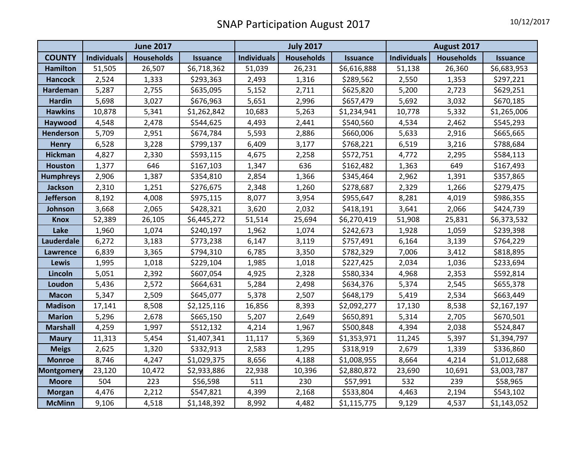|                   | <b>June 2017</b>   |                   |                 | <b>July 2017</b>   |                   |                 | August 2017        |                   |                 |
|-------------------|--------------------|-------------------|-----------------|--------------------|-------------------|-----------------|--------------------|-------------------|-----------------|
| <b>COUNTY</b>     | <b>Individuals</b> | <b>Households</b> | <b>Issuance</b> | <b>Individuals</b> | <b>Households</b> | <b>Issuance</b> | <b>Individuals</b> | <b>Households</b> | <b>Issuance</b> |
| <b>Hamilton</b>   | 51,505             | 26,507            | \$6,718,362     | 51,039             | 26,231            | \$6,616,888     | 51,138             | 26,360            | \$6,683,953     |
| <b>Hancock</b>    | 2,524              | 1,333             | \$293,363       | 2,493              | 1,316             | \$289,562       | 2,550              | 1,353             | \$297,221       |
| Hardeman          | 5,287              | 2,755             | \$635,095       | 5,152              | 2,711             | \$625,820       | 5,200              | 2,723             | \$629,251       |
| <b>Hardin</b>     | 5,698              | 3,027             | \$676,963       | 5,651              | 2,996             | \$657,479       | 5,692              | 3,032             | \$670,185       |
| <b>Hawkins</b>    | 10,878             | 5,341             | \$1,262,842     | 10,683             | 5,263             | \$1,234,941     | 10,778             | 5,332             | \$1,265,006     |
| Haywood           | 4,548              | 2,478             | \$544,625       | 4,493              | 2,441             | \$540,560       | 4,534              | 2,462             | \$545,293       |
| <b>Henderson</b>  | 5,709              | 2,951             | \$674,784       | 5,593              | 2,886             | \$660,006       | 5,633              | 2,916             | \$665,665       |
| <b>Henry</b>      | 6,528              | 3,228             | \$799,137       | 6,409              | 3,177             | \$768,221       | 6,519              | 3,216             | \$788,684       |
| <b>Hickman</b>    | 4,827              | 2,330             | \$593,115       | 4,675              | 2,258             | \$572,751       | 4,772              | 2,295             | \$584,113       |
| <b>Houston</b>    | 1,377              | 646               | \$167,103       | 1,347              | 636               | \$162,482       | 1,363              | 649               | \$167,493       |
| <b>Humphreys</b>  | 2,906              | 1,387             | \$354,810       | 2,854              | 1,366             | \$345,464       | 2,962              | 1,391             | \$357,865       |
| <b>Jackson</b>    | 2,310              | 1,251             | \$276,675       | 2,348              | 1,260             | \$278,687       | 2,329              | 1,266             | \$279,475       |
| <b>Jefferson</b>  | 8,192              | 4,008             | \$975,115       | 8,077              | 3,954             | \$955,647       | 8,281              | 4,019             | \$986,355       |
| Johnson           | 3,668              | 2,065             | \$428,321       | 3,620              | 2,032             | \$418,191       | 3,641              | 2,066             | \$424,739       |
| <b>Knox</b>       | 52,389             | 26,105            | \$6,445,272     | 51,514             | 25,694            | \$6,270,419     | 51,908             | 25,831            | \$6,373,532     |
| Lake              | 1,960              | 1,074             | \$240,197       | 1,962              | 1,074             | \$242,673       | 1,928              | 1,059             | \$239,398       |
| Lauderdale        | 6,272              | 3,183             | \$773,238       | 6,147              | 3,119             | \$757,491       | 6,164              | 3,139             | \$764,229       |
| <b>Lawrence</b>   | 6,839              | 3,365             | \$794,310       | 6,785              | 3,350             | \$782,329       | 7,006              | 3,412             | \$818,895       |
| <b>Lewis</b>      | 1,995              | 1,018             | \$229,104       | 1,985              | 1,018             | \$227,425       | 2,034              | 1,036             | \$233,694       |
| Lincoln           | 5,051              | 2,392             | \$607,054       | 4,925              | 2,328             | \$580,334       | 4,968              | 2,353             | \$592,814       |
| Loudon            | 5,436              | 2,572             | \$664,631       | 5,284              | 2,498             | \$634,376       | 5,374              | 2,545             | \$655,378       |
| <b>Macon</b>      | 5,347              | 2,509             | \$645,077       | 5,378              | 2,507             | \$648,179       | 5,419              | 2,534             | \$663,449       |
| <b>Madison</b>    | 17,141             | 8,508             | \$2,125,116     | 16,856             | 8,393             | \$2,092,277     | 17,130             | 8,538             | \$2,167,197     |
| <b>Marion</b>     | 5,296              | 2,678             | \$665,150       | 5,207              | 2,649             | \$650,891       | 5,314              | 2,705             | \$670,501       |
| <b>Marshall</b>   | 4,259              | 1,997             | \$512,132       | 4,214              | 1,967             | \$500,848       | 4,394              | 2,038             | \$524,847       |
| <b>Maury</b>      | 11,313             | 5,454             | \$1,407,341     | 11,117             | 5,369             | \$1,353,971     | 11,245             | 5,397             | \$1,394,797     |
| <b>Meigs</b>      | 2,625              | 1,320             | \$332,913       | 2,583              | 1,295             | \$318,919       | 2,679              | 1,339             | \$336,860       |
| <b>Monroe</b>     | 8,746              | 4,247             | \$1,029,375     | 8,656              | 4,188             | \$1,008,955     | 8,664              | 4,214             | \$1,012,688     |
| <b>Montgomery</b> | 23,120             | 10,472            | \$2,933,886     | 22,938             | 10,396            | \$2,880,872     | 23,690             | 10,691            | \$3,003,787     |
| <b>Moore</b>      | 504                | 223               | \$56,598        | 511                | 230               | \$57,991        | 532                | 239               | \$58,965        |
| <b>Morgan</b>     | 4,476              | 2,212             | \$547,821       | 4,399              | 2,168             | \$533,804       | 4,463              | 2,194             | \$543,102       |
| <b>McMinn</b>     | 9,106              | 4,518             | \$1,148,392     | 8,992              | 4,482             | \$1,115,775     | 9,129              | 4,537             | \$1,143,052     |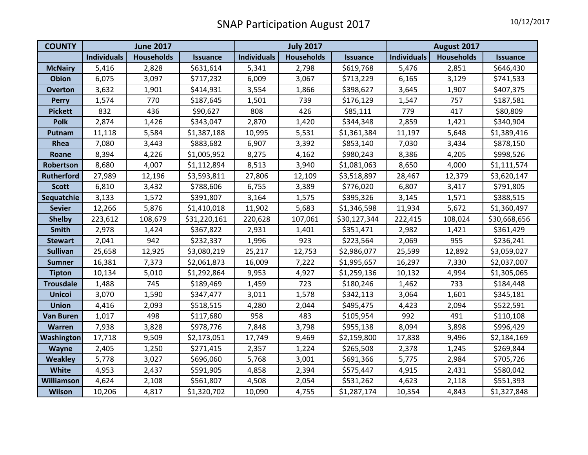| <b>COUNTY</b>     | <b>June 2017</b>   |                   |                 | <b>July 2017</b>   |                   |                 | August 2017        |                   |                 |
|-------------------|--------------------|-------------------|-----------------|--------------------|-------------------|-----------------|--------------------|-------------------|-----------------|
|                   | <b>Individuals</b> | <b>Households</b> | <b>Issuance</b> | <b>Individuals</b> | <b>Households</b> | <b>Issuance</b> | <b>Individuals</b> | <b>Households</b> | <b>Issuance</b> |
| <b>McNairy</b>    | 5,416              | 2,828             | \$631,614       | 5,341              | 2,798             | \$619,768       | 5,476              | 2,851             | \$646,430       |
| <b>Obion</b>      | 6,075              | 3,097             | \$717,232       | 6,009              | 3,067             | \$713,229       | 6,165              | 3,129             | \$741,533       |
| <b>Overton</b>    | 3,632              | 1,901             | \$414,931       | 3,554              | 1,866             | \$398,627       | 3,645              | 1,907             | \$407,375       |
| <b>Perry</b>      | 1,574              | 770               | \$187,645       | 1,501              | 739               | \$176,129       | 1,547              | 757               | \$187,581       |
| <b>Pickett</b>    | 832                | 436               | \$90,627        | 808                | 426               | \$85,111        | 779                | 417               | \$80,809        |
| <b>Polk</b>       | 2,874              | 1,426             | \$343,047       | 2,870              | 1,420             | \$344,348       | 2,859              | 1,421             | \$340,904       |
| Putnam            | 11,118             | 5,584             | \$1,387,188     | 10,995             | 5,531             | \$1,361,384     | 11,197             | 5,648             | \$1,389,416     |
| Rhea              | 7,080              | 3,443             | \$883,682       | 6,907              | 3,392             | \$853,140       | 7,030              | 3,434             | \$878,150       |
| Roane             | 8,394              | 4,226             | \$1,005,952     | 8,275              | 4,162             | \$980,243       | 8,386              | 4,205             | \$998,526       |
| Robertson         | 8,680              | 4,007             | \$1,112,894     | 8,513              | 3,940             | \$1,081,063     | 8,650              | 4,000             | \$1,111,574     |
| <b>Rutherford</b> | 27,989             | 12,196            | \$3,593,811     | 27,806             | 12,109            | \$3,518,897     | 28,467             | 12,379            | \$3,620,147     |
| <b>Scott</b>      | 6,810              | 3,432             | \$788,606       | 6,755              | 3,389             | \$776,020       | 6,807              | 3,417             | \$791,805       |
| Sequatchie        | 3,133              | 1,572             | \$391,807       | 3,164              | 1,575             | \$395,326       | 3,145              | 1,571             | \$388,515       |
| <b>Sevier</b>     | 12,266             | 5,876             | \$1,410,018     | 11,902             | 5,683             | \$1,346,598     | 11,934             | 5,672             | \$1,360,497     |
| <b>Shelby</b>     | 223,612            | 108,679           | \$31,220,161    | 220,628            | 107,061           | \$30,127,344    | 222,415            | 108,024           | \$30,668,656    |
| <b>Smith</b>      | 2,978              | 1,424             | \$367,822       | 2,931              | 1,401             | \$351,471       | 2,982              | 1,421             | \$361,429       |
| <b>Stewart</b>    | 2,041              | 942               | \$232,337       | 1,996              | 923               | \$223,564       | 2,069              | 955               | \$236,241       |
| <b>Sullivan</b>   | 25,658             | 12,925            | \$3,080,219     | 25,217             | 12,753            | \$2,986,077     | 25,599             | 12,892            | \$3,059,027     |
| <b>Sumner</b>     | 16,381             | 7,373             | \$2,061,873     | 16,009             | 7,222             | \$1,995,657     | 16,297             | 7,330             | \$2,037,007     |
| <b>Tipton</b>     | 10,134             | 5,010             | \$1,292,864     | 9,953              | 4,927             | \$1,259,136     | 10,132             | 4,994             | \$1,305,065     |
| <b>Trousdale</b>  | 1,488              | 745               | \$189,469       | 1,459              | 723               | \$180,246       | 1,462              | 733               | \$184,448       |
| <b>Unicoi</b>     | 3,070              | 1,590             | \$347,477       | 3,011              | 1,578             | \$342,113       | 3,064              | 1,601             | \$345,181       |
| <b>Union</b>      | 4,416              | 2,093             | \$518,515       | 4,280              | 2,044             | \$495,475       | 4,423              | 2,094             | \$522,591       |
| <b>Van Buren</b>  | 1,017              | 498               | \$117,680       | 958                | 483               | \$105,954       | 992                | 491               | \$110,108       |
| <b>Warren</b>     | 7,938              | 3,828             | \$978,776       | 7,848              | 3,798             | \$955,138       | 8,094              | 3,898             | \$996,429       |
| Washington        | 17,718             | 9,509             | \$2,173,051     | 17,749             | 9,469             | \$2,159,800     | 17,838             | 9,496             | \$2,184,169     |
| <b>Wayne</b>      | 2,405              | 1,250             | \$271,415       | 2,357              | 1,224             | \$265,508       | 2,378              | 1,245             | \$269,844       |
| <b>Weakley</b>    | 5,778              | 3,027             | \$696,060       | 5,768              | 3,001             | \$691,366       | 5,775              | 2,984             | \$705,726       |
| White             | 4,953              | 2,437             | \$591,905       | 4,858              | 2,394             | \$575,447       | 4,915              | 2,431             | \$580,042       |
| Williamson        | 4,624              | 2,108             | \$561,807       | 4,508              | 2,054             | \$531,262       | 4,623              | 2,118             | \$551,393       |
| <b>Wilson</b>     | 10,206             | 4,817             | \$1,320,702     | 10,090             | 4,755             | \$1,287,174     | 10,354             | 4,843             | \$1,327,848     |